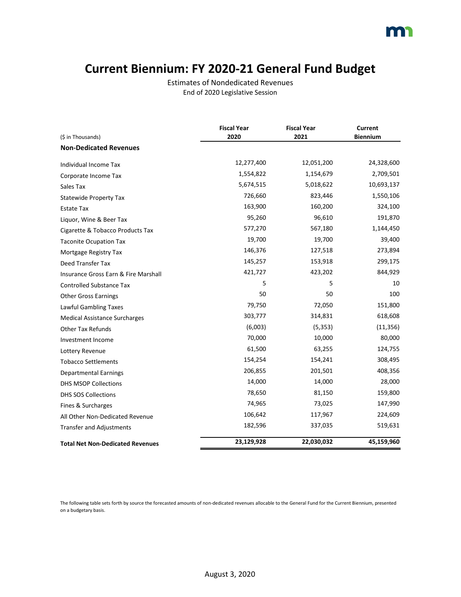### **Current Biennium: FY 2020-21 General Fund Budget**

Estimates of Nondedicated Revenues End of 2020 Legislative Session

|                                         | <b>Fiscal Year</b> | <b>Fiscal Year</b> | <b>Current</b>  |
|-----------------------------------------|--------------------|--------------------|-----------------|
| (\$ in Thousands)                       | 2020               | 2021               | <b>Biennium</b> |
| <b>Non-Dedicated Revenues</b>           |                    |                    |                 |
| Individual Income Tax                   | 12,277,400         | 12,051,200         | 24,328,600      |
| Corporate Income Tax                    | 1,554,822          | 1,154,679          | 2,709,501       |
| Sales Tax                               | 5,674,515          | 5,018,622          | 10,693,137      |
| <b>Statewide Property Tax</b>           | 726,660            | 823,446            | 1,550,106       |
| Estate Tax                              | 163,900            | 160,200            | 324,100         |
| Liquor, Wine & Beer Tax                 | 95,260             | 96,610             | 191,870         |
| Cigarette & Tobacco Products Tax        | 577,270            | 567,180            | 1,144,450       |
| <b>Taconite Ocupation Tax</b>           | 19,700             | 19,700             | 39,400          |
| Mortgage Registry Tax                   | 146,376            | 127,518            | 273,894         |
| Deed Transfer Tax                       | 145,257            | 153,918            | 299,175         |
| Insurance Gross Earn & Fire Marshall    | 421,727            | 423,202            | 844,929         |
| <b>Controlled Substance Tax</b>         | 5                  | 5                  | 10              |
| <b>Other Gross Earnings</b>             | 50                 | 50                 | 100             |
| Lawful Gambling Taxes                   | 79,750             | 72,050             | 151,800         |
| <b>Medical Assistance Surcharges</b>    | 303,777            | 314,831            | 618,608         |
| <b>Other Tax Refunds</b>                | (6,003)            | (5, 353)           | (11, 356)       |
| Investment Income                       | 70,000             | 10,000             | 80,000          |
| Lottery Revenue                         | 61,500             | 63,255             | 124,755         |
| <b>Tobacco Settlements</b>              | 154,254            | 154,241            | 308,495         |
| <b>Departmental Earnings</b>            | 206,855            | 201,501            | 408,356         |
| <b>DHS MSOP Collections</b>             | 14,000             | 14,000             | 28,000          |
| <b>DHS SOS Collections</b>              | 78,650             | 81,150             | 159,800         |
| Fines & Surcharges                      | 74,965             | 73,025             | 147,990         |
| All Other Non-Dedicated Revenue         | 106,642            | 117,967            | 224,609         |
| <b>Transfer and Adjustments</b>         | 182,596            | 337,035            | 519,631         |
| <b>Total Net Non-Dedicated Revenues</b> | 23,129,928         | 22,030,032         | 45,159,960      |

The following table sets forth by source the forecasted amounts of non-dedicated revenues allocable to the General Fund for the Current Biennium, presented on a budgetary basis.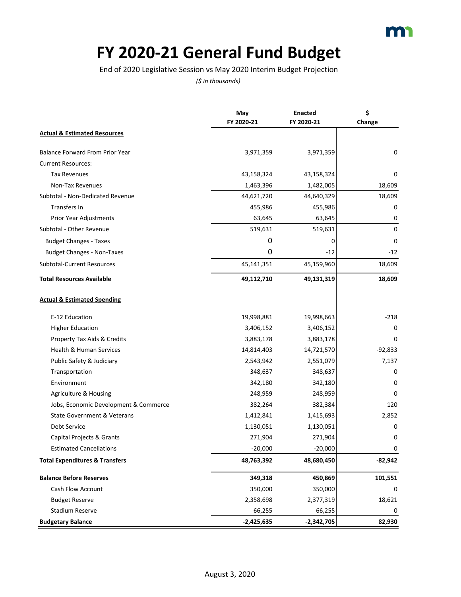

### **FY 2020-21 General Fund Budget**

End of 2020 Legislative Session vs May 2020 Interim Budget Projection

|                                           | May<br>FY 2020-21 | <b>Enacted</b><br>FY 2020-21 | \$<br>Change |
|-------------------------------------------|-------------------|------------------------------|--------------|
| <b>Actual &amp; Estimated Resources</b>   |                   |                              |              |
| <b>Balance Forward From Prior Year</b>    | 3,971,359         | 3,971,359                    | 0            |
| <b>Current Resources:</b>                 |                   |                              |              |
| <b>Tax Revenues</b>                       | 43,158,324        | 43,158,324                   | 0            |
| Non-Tax Revenues                          | 1,463,396         | 1,482,005                    | 18,609       |
| Subtotal - Non-Dedicated Revenue          | 44,621,720        | 44,640,329                   | 18,609       |
| Transfers In                              | 455,986           | 455,986                      | 0            |
| Prior Year Adjustments                    | 63,645            | 63,645                       | 0            |
| Subtotal - Other Revenue                  | 519,631           | 519,631                      | $\Omega$     |
| <b>Budget Changes - Taxes</b>             | 0                 | 0                            | 0            |
| <b>Budget Changes - Non-Taxes</b>         | 0                 | $-12$                        | $-12$        |
| <b>Subtotal-Current Resources</b>         | 45,141,351        | 45,159,960                   | 18,609       |
| <b>Total Resources Available</b>          | 49,112,710        | 49,131,319                   | 18,609       |
| <b>Actual &amp; Estimated Spending</b>    |                   |                              |              |
| E-12 Education                            | 19,998,881        | 19,998,663                   | $-218$       |
| <b>Higher Education</b>                   | 3,406,152         | 3,406,152                    | 0            |
| Property Tax Aids & Credits               | 3,883,178         | 3,883,178                    | 0            |
| Health & Human Services                   | 14,814,403        | 14,721,570                   | $-92,833$    |
| Public Safety & Judiciary                 | 2,543,942         | 2,551,079                    | 7,137        |
| Transportation                            | 348,637           | 348,637                      | 0            |
| Environment                               | 342,180           | 342,180                      | 0            |
| Agriculture & Housing                     | 248,959           | 248,959                      | 0            |
| Jobs, Economic Development & Commerce     | 382,264           | 382,384                      | 120          |
| State Government & Veterans               | 1,412,841         | 1,415,693                    | 2,852        |
| <b>Debt Service</b>                       | 1,130,051         | 1,130,051                    | 0            |
| Capital Projects & Grants                 | 271,904           | 271,904                      | 0            |
| <b>Estimated Cancellations</b>            | $-20,000$         | $-20,000$                    | U            |
| <b>Total Expenditures &amp; Transfers</b> | 48,763,392        | 48,680,450                   | $-82,942$    |
| <b>Balance Before Reserves</b>            | 349,318           | 450,869                      | 101,551      |
| Cash Flow Account                         | 350,000           | 350,000                      | 0            |
| <b>Budget Reserve</b>                     | 2,358,698         | 2,377,319                    | 18,621       |
| <b>Stadium Reserve</b>                    | 66,255            | 66,255                       | 0            |
| <b>Budgetary Balance</b>                  | $-2,425,635$      | $-2,342,705$                 | 82,930       |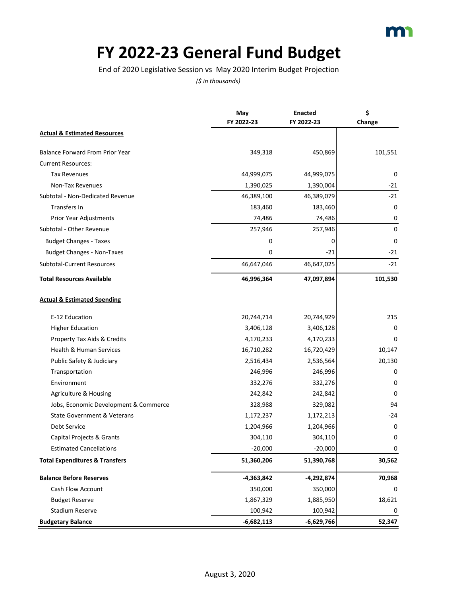

## **FY 2022-23 General Fund Budget**

End of 2020 Legislative Session vs May 2020 Interim Budget Projection

|                                           | May          | <b>Enacted</b> | \$          |
|-------------------------------------------|--------------|----------------|-------------|
|                                           | FY 2022-23   | FY 2022-23     | Change      |
| <b>Actual &amp; Estimated Resources</b>   |              |                |             |
| <b>Balance Forward From Prior Year</b>    | 349,318      | 450,869        | 101,551     |
| <b>Current Resources:</b>                 |              |                |             |
| <b>Tax Revenues</b>                       | 44,999,075   | 44,999,075     | 0           |
| Non-Tax Revenues                          | 1,390,025    | 1,390,004      | $-21$       |
| Subtotal - Non-Dedicated Revenue          | 46,389,100   | 46,389,079     | $-21$       |
| Transfers In                              | 183,460      | 183,460        | $\mathbf 0$ |
| Prior Year Adjustments                    | 74,486       | 74,486         | 0           |
| Subtotal - Other Revenue                  | 257,946      | 257,946        | $\mathbf 0$ |
| <b>Budget Changes - Taxes</b>             | 0            | 0              | 0           |
| <b>Budget Changes - Non-Taxes</b>         | 0            | $-21$          | $-21$       |
| <b>Subtotal-Current Resources</b>         | 46,647,046   | 46,647,025     | $-21$       |
| <b>Total Resources Available</b>          | 46,996,364   | 47,097,894     | 101,530     |
| <b>Actual &amp; Estimated Spending</b>    |              |                |             |
| E-12 Education                            | 20,744,714   | 20,744,929     | 215         |
| <b>Higher Education</b>                   | 3,406,128    | 3,406,128      | 0           |
| Property Tax Aids & Credits               | 4,170,233    | 4,170,233      | 0           |
| <b>Health &amp; Human Services</b>        | 16,710,282   | 16,720,429     | 10,147      |
| Public Safety & Judiciary                 | 2,516,434    | 2,536,564      | 20,130      |
| Transportation                            | 246,996      | 246,996        | 0           |
| Environment                               | 332,276      | 332,276        | 0           |
| Agriculture & Housing                     | 242,842      | 242,842        | 0           |
| Jobs, Economic Development & Commerce     | 328,988      | 329,082        | 94          |
| <b>State Government &amp; Veterans</b>    | 1,172,237    | 1,172,213      | $-24$       |
| <b>Debt Service</b>                       | 1,204,966    | 1,204,966      | 0           |
| Capital Projects & Grants                 | 304,110      | 304,110        | 0           |
| <b>Estimated Cancellations</b>            | $-20,000$    | $-20,000$      | $\pmb{0}$   |
| <b>Total Expenditures &amp; Transfers</b> | 51,360,206   | 51,390,768     | 30,562      |
| <b>Balance Before Reserves</b>            | -4,363,842   | -4,292,874     | 70,968      |
| Cash Flow Account                         | 350,000      | 350,000        | 0           |
| <b>Budget Reserve</b>                     | 1,867,329    | 1,885,950      | 18,621      |
| <b>Stadium Reserve</b>                    | 100,942      | 100,942        | 0           |
| <b>Budgetary Balance</b>                  | $-6,682,113$ | $-6,629,766$   | 52,347      |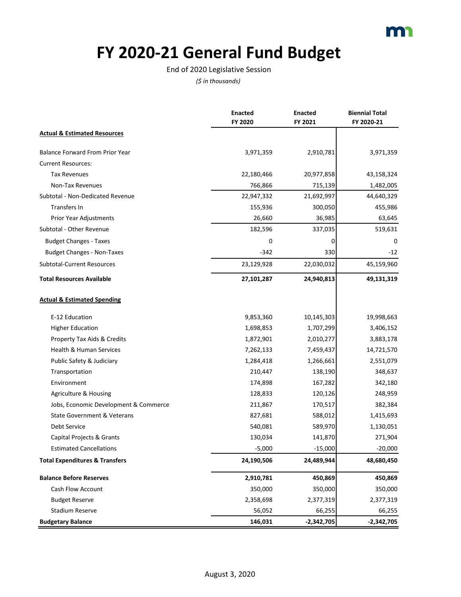

### **FY 2020-21 General Fund Budget**

#### End of 2020 Legislative Session

|                                           | <b>Enacted</b><br>FY 2020 | <b>Enacted</b><br>FY 2021 | <b>Biennial Total</b><br>FY 2020-21 |
|-------------------------------------------|---------------------------|---------------------------|-------------------------------------|
| <b>Actual &amp; Estimated Resources</b>   |                           |                           |                                     |
| <b>Balance Forward From Prior Year</b>    | 3,971,359                 | 2,910,781                 | 3,971,359                           |
| <b>Current Resources:</b>                 |                           |                           |                                     |
| <b>Tax Revenues</b>                       | 22,180,466                | 20,977,858                | 43,158,324                          |
| Non-Tax Revenues                          | 766,866                   | 715,139                   | 1,482,005                           |
| Subtotal - Non-Dedicated Revenue          | 22,947,332                | 21,692,997                | 44,640,329                          |
| Transfers In                              | 155,936                   | 300,050                   | 455,986                             |
| Prior Year Adjustments                    | 26,660                    | 36,985                    | 63,645                              |
| Subtotal - Other Revenue                  | 182,596                   | 337,035                   | 519,631                             |
| <b>Budget Changes - Taxes</b>             | 0                         | 0                         | 0                                   |
| <b>Budget Changes - Non-Taxes</b>         | $-342$                    | 330                       | $-12$                               |
| Subtotal-Current Resources                | 23,129,928                | 22,030,032                | 45,159,960                          |
| <b>Total Resources Available</b>          | 27,101,287                | 24,940,813                | 49,131,319                          |
| <b>Actual &amp; Estimated Spending</b>    |                           |                           |                                     |
| E-12 Education                            | 9,853,360                 | 10,145,303                | 19,998,663                          |
| <b>Higher Education</b>                   | 1,698,853                 | 1,707,299                 | 3,406,152                           |
| Property Tax Aids & Credits               | 1,872,901                 | 2,010,277                 | 3,883,178                           |
| Health & Human Services                   | 7,262,133                 | 7,459,437                 | 14,721,570                          |
| Public Safety & Judiciary                 | 1,284,418                 | 1,266,661                 | 2,551,079                           |
| Transportation                            | 210,447                   | 138,190                   | 348,637                             |
| Environment                               | 174,898                   | 167,282                   | 342,180                             |
| Agriculture & Housing                     | 128,833                   | 120,126                   | 248,959                             |
| Jobs, Economic Development & Commerce     | 211,867                   | 170,517                   | 382,384                             |
| <b>State Government &amp; Veterans</b>    | 827,681                   | 588,012                   | 1,415,693                           |
| Debt Service                              | 540,081                   | 589,970                   | 1,130,051                           |
| Capital Projects & Grants                 | 130,034                   | 141,870                   | 271,904                             |
| <b>Estimated Cancellations</b>            | $-5,000$                  | $-15,000$                 | $-20,000$                           |
| <b>Total Expenditures &amp; Transfers</b> | 24,190,506                | 24,489,944                | 48,680,450                          |
| <b>Balance Before Reserves</b>            | 2,910,781                 | 450,869                   | 450,869                             |
| Cash Flow Account                         | 350,000                   | 350,000                   | 350,000                             |
| <b>Budget Reserve</b>                     | 2,358,698                 | 2,377,319                 | 2,377,319                           |
| <b>Stadium Reserve</b>                    | 56,052                    | 66,255                    | 66,255                              |
| <b>Budgetary Balance</b>                  | 146,031                   | $-2,342,705$              | $-2,342,705$                        |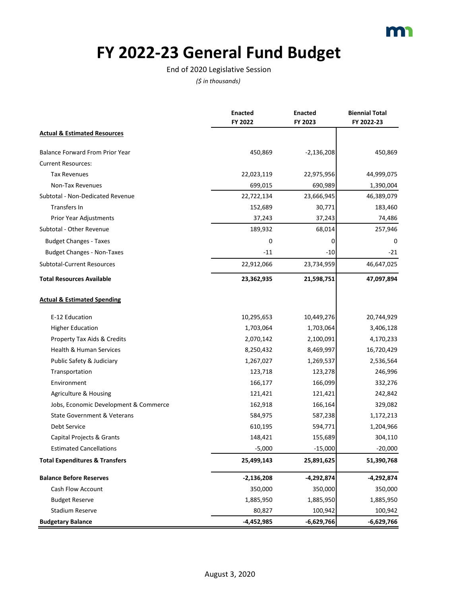

### **FY 2022-23 General Fund Budget**

#### End of 2020 Legislative Session

|                                           | <b>Enacted</b> | <b>Enacted</b> | <b>Biennial Total</b> |
|-------------------------------------------|----------------|----------------|-----------------------|
|                                           | FY 2022        | FY 2023        | FY 2022-23            |
| <b>Actual &amp; Estimated Resources</b>   |                |                |                       |
| <b>Balance Forward From Prior Year</b>    | 450,869        | $-2,136,208$   | 450,869               |
| <b>Current Resources:</b>                 |                |                |                       |
| <b>Tax Revenues</b>                       | 22,023,119     | 22,975,956     | 44,999,075            |
| Non-Tax Revenues                          | 699,015        | 690,989        | 1,390,004             |
| Subtotal - Non-Dedicated Revenue          | 22,722,134     | 23,666,945     | 46,389,079            |
| Transfers In                              | 152,689        | 30,771         | 183,460               |
| Prior Year Adjustments                    | 37,243         | 37,243         | 74,486                |
| Subtotal - Other Revenue                  | 189,932        | 68,014         | 257,946               |
| <b>Budget Changes - Taxes</b>             | 0              | 0              | 0                     |
| <b>Budget Changes - Non-Taxes</b>         | $-11$          | $-10$          | $-21$                 |
| <b>Subtotal-Current Resources</b>         | 22,912,066     | 23,734,959     | 46,647,025            |
| <b>Total Resources Available</b>          | 23,362,935     | 21,598,751     | 47,097,894            |
| <b>Actual &amp; Estimated Spending</b>    |                |                |                       |
| E-12 Education                            | 10,295,653     | 10,449,276     | 20,744,929            |
| <b>Higher Education</b>                   | 1,703,064      | 1,703,064      | 3,406,128             |
| Property Tax Aids & Credits               | 2,070,142      | 2,100,091      | 4,170,233             |
| Health & Human Services                   | 8,250,432      | 8,469,997      | 16,720,429            |
| Public Safety & Judiciary                 | 1,267,027      | 1,269,537      | 2,536,564             |
| Transportation                            | 123,718        | 123,278        | 246,996               |
| Environment                               | 166,177        | 166,099        | 332,276               |
| Agriculture & Housing                     | 121,421        | 121,421        | 242,842               |
| Jobs, Economic Development & Commerce     | 162,918        | 166,164        | 329,082               |
| <b>State Government &amp; Veterans</b>    | 584,975        | 587,238        | 1,172,213             |
| Debt Service                              | 610,195        | 594,771        | 1,204,966             |
| Capital Projects & Grants                 | 148,421        | 155,689        | 304,110               |
| <b>Estimated Cancellations</b>            | $-5,000$       | $-15,000$      | $-20,000$             |
| <b>Total Expenditures &amp; Transfers</b> | 25,499,143     | 25,891,625     | 51,390,768            |
| <b>Balance Before Reserves</b>            | $-2,136,208$   | $-4,292,874$   | -4,292,874            |
| Cash Flow Account                         | 350,000        | 350,000        | 350,000               |
| <b>Budget Reserve</b>                     | 1,885,950      | 1,885,950      | 1,885,950             |
| <b>Stadium Reserve</b>                    | 80,827         | 100,942        | 100,942               |
| <b>Budgetary Balance</b>                  | $-4,452,985$   | $-6,629,766$   | -6,629,766            |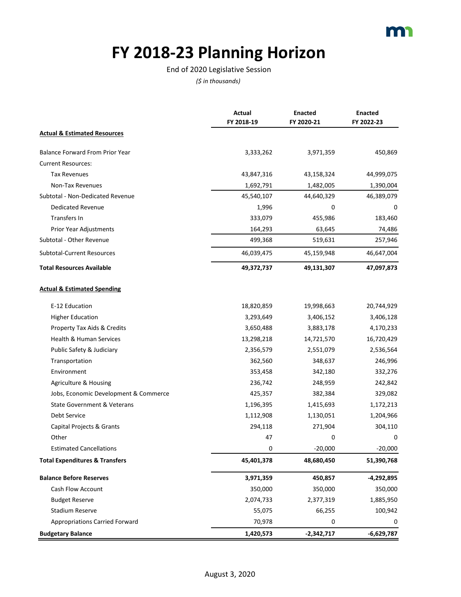# **FY 2018-23 Planning Horizon**

#### End of 2020 Legislative Session

|                                           | Actual<br>FY 2018-19 | <b>Enacted</b><br>FY 2020-21 | <b>Enacted</b><br>FY 2022-23 |
|-------------------------------------------|----------------------|------------------------------|------------------------------|
| <b>Actual &amp; Estimated Resources</b>   |                      |                              |                              |
| <b>Balance Forward From Prior Year</b>    | 3,333,262            | 3,971,359                    | 450,869                      |
| <b>Current Resources:</b>                 |                      |                              |                              |
| <b>Tax Revenues</b>                       | 43,847,316           | 43,158,324                   | 44,999,075                   |
| Non-Tax Revenues                          | 1,692,791            | 1,482,005                    | 1,390,004                    |
| Subtotal - Non-Dedicated Revenue          | 45,540,107           | 44,640,329                   | 46,389,079                   |
| Dedicated Revenue                         | 1,996                | 0                            | 0                            |
| Transfers In                              | 333,079              | 455,986                      | 183,460                      |
| Prior Year Adjustments                    | 164,293              | 63,645                       | 74,486                       |
| Subtotal - Other Revenue                  | 499,368              | 519,631                      | 257,946                      |
| Subtotal-Current Resources                | 46,039,475           | 45,159,948                   | 46,647,004                   |
| <b>Total Resources Available</b>          | 49,372,737           | 49,131,307                   | 47,097,873                   |
| <b>Actual &amp; Estimated Spending</b>    |                      |                              |                              |
| E-12 Education                            | 18,820,859           | 19,998,663                   | 20,744,929                   |
| <b>Higher Education</b>                   | 3,293,649            | 3,406,152                    | 3,406,128                    |
| Property Tax Aids & Credits               | 3,650,488            | 3,883,178                    | 4,170,233                    |
| Health & Human Services                   | 13,298,218           | 14,721,570                   | 16,720,429                   |
| Public Safety & Judiciary                 | 2,356,579            | 2,551,079                    | 2,536,564                    |
| Transportation                            | 362,560              | 348,637                      | 246,996                      |
| Environment                               | 353,458              | 342,180                      | 332,276                      |
| Agriculture & Housing                     | 236,742              | 248,959                      | 242,842                      |
| Jobs, Economic Development & Commerce     | 425,357              | 382,384                      | 329,082                      |
| <b>State Government &amp; Veterans</b>    | 1,196,395            | 1,415,693                    | 1,172,213                    |
| Debt Service                              | 1,112,908            | 1,130,051                    | 1,204,966                    |
| Capital Projects & Grants                 | 294,118              | 271,904                      | 304,110                      |
| Other                                     | 47                   | 0                            | 0                            |
| <b>Estimated Cancellations</b>            | 0                    | $-20,000$                    | $-20,000$                    |
| <b>Total Expenditures &amp; Transfers</b> | 45,401,378           | 48,680,450                   | 51,390,768                   |
| <b>Balance Before Reserves</b>            | 3,971,359            | 450,857                      | -4,292,895                   |
| Cash Flow Account                         | 350,000              | 350,000                      | 350,000                      |
| <b>Budget Reserve</b>                     | 2,074,733            | 2,377,319                    | 1,885,950                    |
| <b>Stadium Reserve</b>                    | 55,075               | 66,255                       | 100,942                      |
| <b>Appropriations Carried Forward</b>     | 70,978               | 0                            | 0                            |
| <b>Budgetary Balance</b>                  | 1,420,573            | $-2,342,717$                 | -6,629,787                   |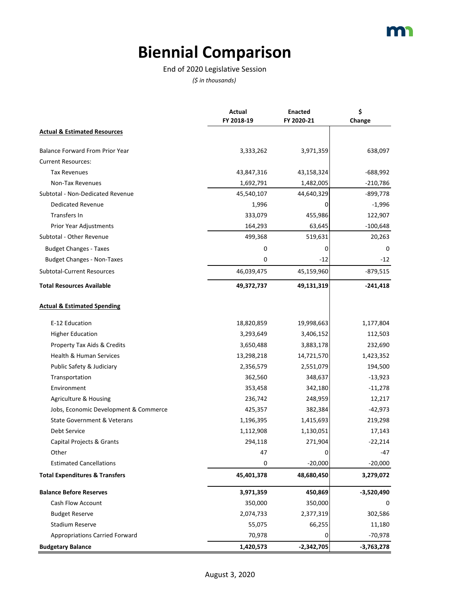# **Biennial Comparison**

End of 2020 Legislative Session

|                                           | Actual     | <b>Enacted</b> | \$           |
|-------------------------------------------|------------|----------------|--------------|
|                                           | FY 2018-19 | FY 2020-21     | Change       |
| <b>Actual &amp; Estimated Resources</b>   |            |                |              |
| <b>Balance Forward From Prior Year</b>    | 3,333,262  | 3,971,359      | 638,097      |
| <b>Current Resources:</b>                 |            |                |              |
| <b>Tax Revenues</b>                       | 43,847,316 | 43,158,324     | $-688,992$   |
| Non-Tax Revenues                          | 1,692,791  | 1,482,005      | $-210,786$   |
| Subtotal - Non-Dedicated Revenue          | 45,540,107 | 44,640,329     | -899,778     |
| <b>Dedicated Revenue</b>                  | 1,996      | O              | $-1,996$     |
| Transfers In                              | 333,079    | 455,986        | 122,907      |
| Prior Year Adjustments                    | 164,293    | 63,645         | $-100,648$   |
| Subtotal - Other Revenue                  | 499,368    | 519,631        | 20,263       |
| <b>Budget Changes - Taxes</b>             | 0          | 0              | 0            |
| <b>Budget Changes - Non-Taxes</b>         | 0          | $-12$          | $-12$        |
| Subtotal-Current Resources                | 46,039,475 | 45,159,960     | $-879,515$   |
| <b>Total Resources Available</b>          | 49,372,737 | 49,131,319     | $-241,418$   |
| <b>Actual &amp; Estimated Spending</b>    |            |                |              |
| E-12 Education                            | 18,820,859 | 19,998,663     | 1,177,804    |
| <b>Higher Education</b>                   | 3,293,649  | 3,406,152      | 112,503      |
| Property Tax Aids & Credits               | 3,650,488  | 3,883,178      | 232,690      |
| <b>Health &amp; Human Services</b>        | 13,298,218 | 14,721,570     | 1,423,352    |
| Public Safety & Judiciary                 | 2,356,579  | 2,551,079      | 194,500      |
| Transportation                            | 362,560    | 348,637        | $-13,923$    |
| Environment                               | 353,458    | 342,180        | $-11,278$    |
| Agriculture & Housing                     | 236,742    | 248,959        | 12,217       |
| Jobs, Economic Development & Commerce     | 425,357    | 382,384        | $-42,973$    |
| <b>State Government &amp; Veterans</b>    | 1,196,395  | 1,415,693      | 219,298      |
| <b>Debt Service</b>                       | 1,112,908  | 1,130,051      | 17,143       |
| Capital Projects & Grants                 | 294,118    | 271,904        | $-22,214$    |
| Other                                     | 47         | 0              | -47          |
| <b>Estimated Cancellations</b>            | 0          | $-20,000$      | $-20,000$    |
| <b>Total Expenditures &amp; Transfers</b> | 45,401,378 | 48,680,450     | 3,279,072    |
| <b>Balance Before Reserves</b>            | 3,971,359  | 450,869        | $-3,520,490$ |
| <b>Cash Flow Account</b>                  | 350,000    | 350,000        |              |
| <b>Budget Reserve</b>                     | 2,074,733  | 2,377,319      | 302,586      |
| <b>Stadium Reserve</b>                    | 55,075     | 66,255         | 11,180       |
| <b>Appropriations Carried Forward</b>     | 70,978     | 0              | $-70,978$    |
| <b>Budgetary Balance</b>                  | 1,420,573  | $-2,342,705$   | -3,763,278   |